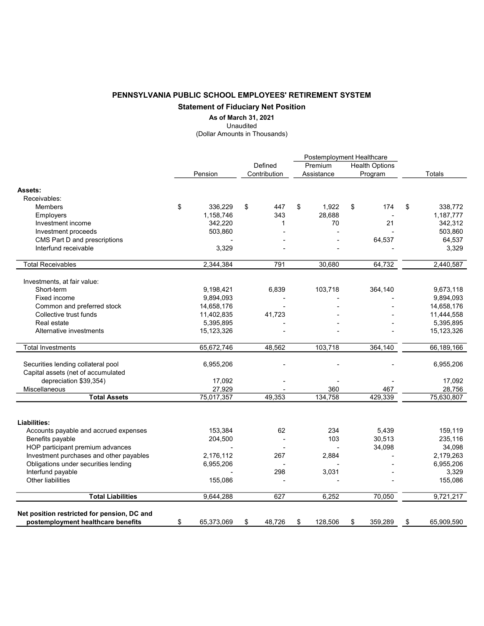## PENNSYLVANIA PUBLIC SCHOOL EMPLOYEES' RETIREMENT SYSTEM Statement of Fiduciary Net Position

As of March 31, 2021

Unaudited

(Dollar Amounts in Thousands)

|                                                                                   |    |                        |    |              | Postemployment Healthcare |            |                       |                 |    |                        |
|-----------------------------------------------------------------------------------|----|------------------------|----|--------------|---------------------------|------------|-----------------------|-----------------|----|------------------------|
|                                                                                   |    |                        |    | Defined      | Premium                   |            | <b>Health Options</b> |                 |    |                        |
|                                                                                   |    | Pension                |    | Contribution |                           | Assistance |                       | Program         |    | Totals                 |
| Assets:                                                                           |    |                        |    |              |                           |            |                       |                 |    |                        |
| Receivables:                                                                      |    |                        |    |              |                           |            |                       |                 |    |                        |
| Members                                                                           | \$ | 336,229                | \$ | 447          | \$                        | 1,922      | \$                    | 174             | \$ | 338,772                |
| Employers                                                                         |    | 1,158,746              |    | 343          |                           | 28,688     |                       |                 |    | 1,187,777              |
| Investment income                                                                 |    | 342,220                |    | 1            |                           | 70         |                       | 21              |    | 342,312                |
| Investment proceeds                                                               |    | 503,860                |    |              |                           |            |                       |                 |    | 503,860                |
| CMS Part D and prescriptions                                                      |    |                        |    |              |                           |            |                       | 64,537          |    | 64,537                 |
| Interfund receivable                                                              |    | 3,329                  |    |              |                           |            |                       |                 |    | 3,329                  |
| <b>Total Receivables</b>                                                          |    | 2,344,384              |    | 791          |                           | 30,680     |                       | 64,732          |    | 2,440,587              |
|                                                                                   |    |                        |    |              |                           |            |                       |                 |    |                        |
| Investments, at fair value:<br>Short-term                                         |    |                        |    |              |                           | 103,718    |                       |                 |    |                        |
| Fixed income                                                                      |    | 9,198,421<br>9,894,093 |    | 6,839        |                           |            |                       | 364,140         |    | 9,673,118<br>9,894,093 |
| Common and preferred stock                                                        |    | 14,658,176             |    |              |                           |            |                       |                 |    | 14,658,176             |
| Collective trust funds                                                            |    |                        |    | 41,723       |                           |            |                       |                 |    |                        |
| Real estate                                                                       |    | 11,402,835             |    |              |                           |            |                       |                 |    | 11,444,558             |
|                                                                                   |    | 5,395,895              |    |              |                           |            |                       |                 |    | 5,395,895              |
| Alternative investments                                                           |    | 15,123,326             |    |              |                           |            |                       |                 |    | 15,123,326             |
| Total Investments                                                                 |    | 65,672,746             |    | 48,562       |                           | 103,718    |                       | 364,140         |    | 66,189,166             |
| Securities lending collateral pool                                                |    | 6,955,206              |    |              |                           |            |                       |                 |    | 6,955,206              |
| Capital assets (net of accumulated                                                |    |                        |    |              |                           |            |                       |                 |    |                        |
| depreciation \$39,354)                                                            |    | 17,092                 |    |              |                           |            |                       |                 |    | 17,092                 |
| Miscellaneous                                                                     |    | 27,929                 |    |              |                           | 360        |                       | 467             |    | 28,756                 |
| <b>Total Assets</b>                                                               |    | 75,017,357             |    | 49,353       |                           | 134,758    |                       | 429,339         |    | 75,630,807             |
|                                                                                   |    |                        |    |              |                           |            |                       |                 |    |                        |
| Liabilities:                                                                      |    |                        |    | 62           |                           | 234        |                       |                 |    | 159,119                |
| Accounts payable and accrued expenses                                             |    | 153,384                |    |              |                           | 103        |                       | 5,439<br>30,513 |    | 235,116                |
| Benefits payable<br>HOP participant premium advances                              |    | 204,500                |    |              |                           |            |                       | 34,098          |    |                        |
| Investment purchases and other payables                                           |    | 2,176,112              |    | 267          |                           | 2,884      |                       |                 |    | 34,098<br>2,179,263    |
| Obligations under securities lending                                              |    |                        |    |              |                           |            |                       |                 |    | 6,955,206              |
| Interfund payable                                                                 |    | 6,955,206              |    | 298          |                           | 3,031      |                       |                 |    |                        |
| Other liabilities                                                                 |    |                        |    |              |                           |            |                       |                 |    | 3,329                  |
|                                                                                   |    | 155,086                |    |              |                           |            |                       |                 |    | 155,086                |
| <b>Total Liabilities</b>                                                          |    | 9,644,288              |    | 627          |                           | 6,252      |                       | 70,050          |    | 9,721,217              |
| Net position restricted for pension, DC and<br>postemployment healthcare benefits | \$ | 65,373,069             | \$ | 48,726       | \$                        | 128,506    | \$                    | 359,289         | \$ | 65,909,590             |